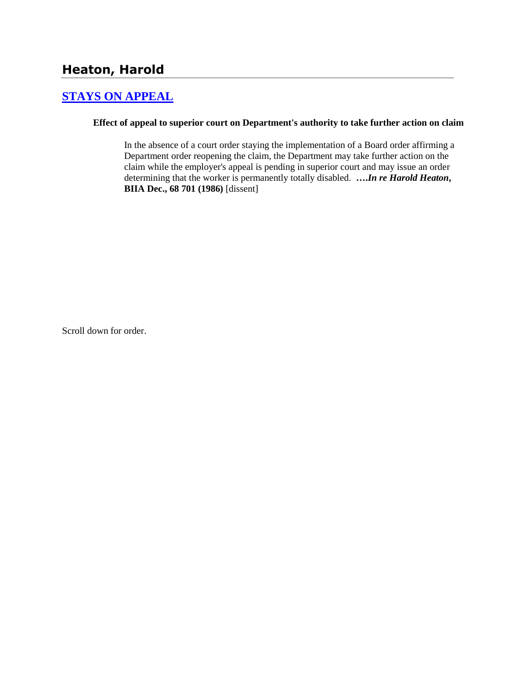# **[STAYS ON APPEAL](http://www.biia.wa.gov/SDSubjectIndex.html#STAYS_ON_APPEAL)**

### **Effect of appeal to superior court on Department's authority to take further action on claim**

In the absence of a court order staying the implementation of a Board order affirming a Department order reopening the claim, the Department may take further action on the claim while the employer's appeal is pending in superior court and may issue an order determining that the worker is permanently totally disabled. **….***In re Harold Heaton***, BIIA Dec., 68 701 (1986)** [dissent]

Scroll down for order.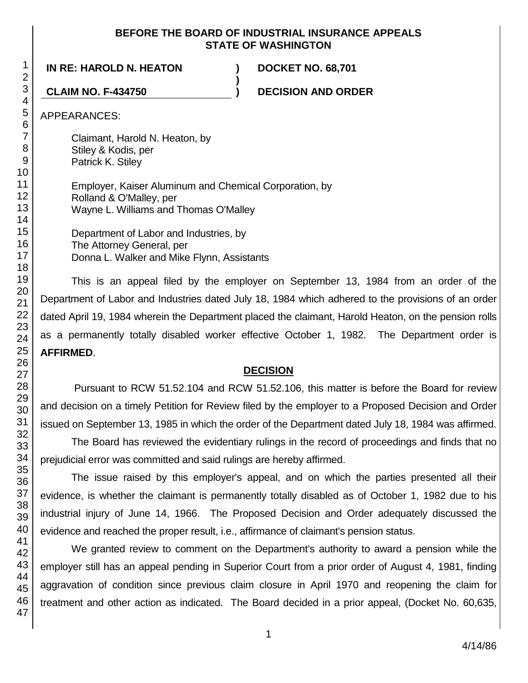### **BEFORE THE BOARD OF INDUSTRIAL INSURANCE APPEALS STATE OF WASHINGTON**

**)**

### **IN RE: HAROLD N. HEATON ) DOCKET NO. 68,701**

**CLAIM NO. F-434750 ) DECISION AND ORDER**

APPEARANCES:

Claimant, Harold N. Heaton, by Stiley & Kodis, per Patrick K. Stiley Employer, Kaiser Aluminum and Chemical Corporation, by Rolland & O'Malley, per Wayne L. Williams and Thomas O'Malley

Department of Labor and Industries, by The Attorney General, per Donna L. Walker and Mike Flynn, Assistants

This is an appeal filed by the employer on September 13, 1984 from an order of the Department of Labor and Industries dated July 18, 1984 which adhered to the provisions of an order dated April 19, 1984 wherein the Department placed the claimant, Harold Heaton, on the pension rolls as a permanently totally disabled worker effective October 1, 1982. The Department order is **AFFIRMED**.

### **DECISION**

Pursuant to RCW 51.52.104 and RCW 51.52.106, this matter is before the Board for review and decision on a timely Petition for Review filed by the employer to a Proposed Decision and Order issued on September 13, 1985 in which the order of the Department dated July 18, 1984 was affirmed.

The Board has reviewed the evidentiary rulings in the record of proceedings and finds that no prejudicial error was committed and said rulings are hereby affirmed.

The issue raised by this employer's appeal, and on which the parties presented all their evidence, is whether the claimant is permanently totally disabled as of October 1, 1982 due to his industrial injury of June 14, 1966. The Proposed Decision and Order adequately discussed the evidence and reached the proper result, i.e., affirmance of claimant's pension status.

We granted review to comment on the Department's authority to award a pension while the employer still has an appeal pending in Superior Court from a prior order of August 4, 1981, finding aggravation of condition since previous claim closure in April 1970 and reopening the claim for treatment and other action as indicated. The Board decided in a prior appeal, (Docket No. 60,635,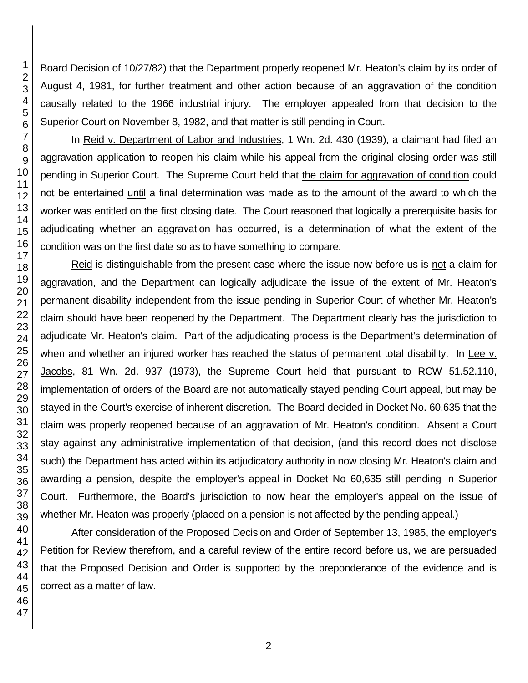Board Decision of 10/27/82) that the Department properly reopened Mr. Heaton's claim by its order of August 4, 1981, for further treatment and other action because of an aggravation of the condition causally related to the 1966 industrial injury. The employer appealed from that decision to the Superior Court on November 8, 1982, and that matter is still pending in Court.

In Reid v. Department of Labor and Industries, 1 Wn. 2d. 430 (1939), a claimant had filed an aggravation application to reopen his claim while his appeal from the original closing order was still pending in Superior Court. The Supreme Court held that the claim for aggravation of condition could not be entertained until a final determination was made as to the amount of the award to which the worker was entitled on the first closing date. The Court reasoned that logically a prerequisite basis for adjudicating whether an aggravation has occurred, is a determination of what the extent of the condition was on the first date so as to have something to compare.

Reid is distinguishable from the present case where the issue now before us is not a claim for aggravation, and the Department can logically adjudicate the issue of the extent of Mr. Heaton's permanent disability independent from the issue pending in Superior Court of whether Mr. Heaton's claim should have been reopened by the Department. The Department clearly has the jurisdiction to adjudicate Mr. Heaton's claim. Part of the adjudicating process is the Department's determination of when and whether an injured worker has reached the status of permanent total disability. In Lee v. Jacobs, 81 Wn. 2d. 937 (1973), the Supreme Court held that pursuant to RCW 51.52.110, implementation of orders of the Board are not automatically stayed pending Court appeal, but may be stayed in the Court's exercise of inherent discretion. The Board decided in Docket No. 60,635 that the claim was properly reopened because of an aggravation of Mr. Heaton's condition. Absent a Court stay against any administrative implementation of that decision, (and this record does not disclose such) the Department has acted within its adjudicatory authority in now closing Mr. Heaton's claim and awarding a pension, despite the employer's appeal in Docket No 60,635 still pending in Superior Court. Furthermore, the Board's jurisdiction to now hear the employer's appeal on the issue of whether Mr. Heaton was properly (placed on a pension is not affected by the pending appeal.)

After consideration of the Proposed Decision and Order of September 13, 1985, the employer's Petition for Review therefrom, and a careful review of the entire record before us, we are persuaded that the Proposed Decision and Order is supported by the preponderance of the evidence and is correct as a matter of law.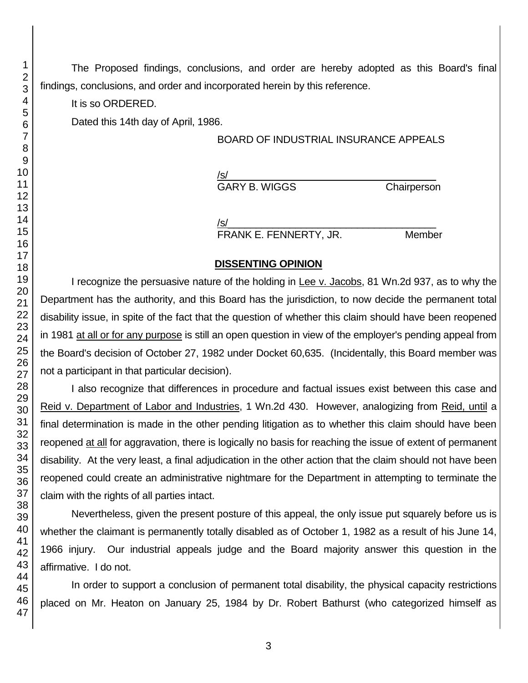The Proposed findings, conclusions, and order are hereby adopted as this Board's final findings, conclusions, and order and incorporated herein by this reference.

It is so ORDERED.

Dated this 14th day of April, 1986.

## BOARD OF INDUSTRIAL INSURANCE APPEALS

/s/\_\_\_\_\_\_\_\_\_\_\_\_\_\_\_\_\_\_\_\_\_\_\_\_\_\_\_\_\_\_\_\_\_\_\_\_\_

GARY B. WIGGS Chairperson

/s/  $\,$ FRANK E. FENNERTY, JR. Member

### **DISSENTING OPINION**

I recognize the persuasive nature of the holding in Lee v. Jacobs, 81 Wn.2d 937, as to why the Department has the authority, and this Board has the jurisdiction, to now decide the permanent total disability issue, in spite of the fact that the question of whether this claim should have been reopened in 1981 at all or for any purpose is still an open question in view of the employer's pending appeal from the Board's decision of October 27, 1982 under Docket 60,635. (Incidentally, this Board member was not a participant in that particular decision).

I also recognize that differences in procedure and factual issues exist between this case and Reid v. Department of Labor and Industries, 1 Wn.2d 430. However, analogizing from Reid, until a final determination is made in the other pending litigation as to whether this claim should have been reopened at all for aggravation, there is logically no basis for reaching the issue of extent of permanent disability. At the very least, a final adjudication in the other action that the claim should not have been reopened could create an administrative nightmare for the Department in attempting to terminate the claim with the rights of all parties intact.

Nevertheless, given the present posture of this appeal, the only issue put squarely before us is whether the claimant is permanently totally disabled as of October 1, 1982 as a result of his June 14, 1966 injury. Our industrial appeals judge and the Board majority answer this question in the affirmative. I do not.

In order to support a conclusion of permanent total disability, the physical capacity restrictions placed on Mr. Heaton on January 25, 1984 by Dr. Robert Bathurst (who categorized himself as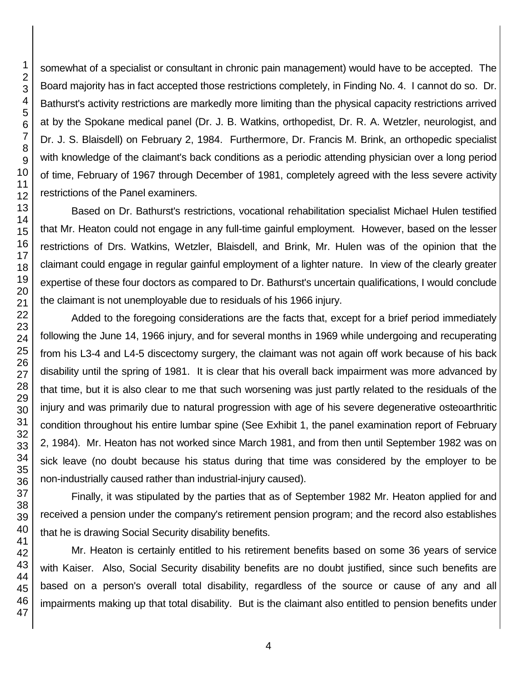somewhat of a specialist or consultant in chronic pain management) would have to be accepted. The Board majority has in fact accepted those restrictions completely, in Finding No. 4. I cannot do so. Dr. Bathurst's activity restrictions are markedly more limiting than the physical capacity restrictions arrived at by the Spokane medical panel (Dr. J. B. Watkins, orthopedist, Dr. R. A. Wetzler, neurologist, and Dr. J. S. Blaisdell) on February 2, 1984. Furthermore, Dr. Francis M. Brink, an orthopedic specialist with knowledge of the claimant's back conditions as a periodic attending physician over a long period of time, February of 1967 through December of 1981, completely agreed with the less severe activity restrictions of the Panel examiners.

Based on Dr. Bathurst's restrictions, vocational rehabilitation specialist Michael Hulen testified that Mr. Heaton could not engage in any full-time gainful employment. However, based on the lesser restrictions of Drs. Watkins, Wetzler, Blaisdell, and Brink, Mr. Hulen was of the opinion that the claimant could engage in regular gainful employment of a lighter nature. In view of the clearly greater expertise of these four doctors as compared to Dr. Bathurst's uncertain qualifications, I would conclude the claimant is not unemployable due to residuals of his 1966 injury.

Added to the foregoing considerations are the facts that, except for a brief period immediately following the June 14, 1966 injury, and for several months in 1969 while undergoing and recuperating from his L3-4 and L4-5 discectomy surgery, the claimant was not again off work because of his back disability until the spring of 1981. It is clear that his overall back impairment was more advanced by that time, but it is also clear to me that such worsening was just partly related to the residuals of the injury and was primarily due to natural progression with age of his severe degenerative osteoarthritic condition throughout his entire lumbar spine (See Exhibit 1, the panel examination report of February 2, 1984). Mr. Heaton has not worked since March 1981, and from then until September 1982 was on sick leave (no doubt because his status during that time was considered by the employer to be non-industrially caused rather than industrial-injury caused).

Finally, it was stipulated by the parties that as of September 1982 Mr. Heaton applied for and received a pension under the company's retirement pension program; and the record also establishes that he is drawing Social Security disability benefits.

Mr. Heaton is certainly entitled to his retirement benefits based on some 36 years of service with Kaiser. Also, Social Security disability benefits are no doubt justified, since such benefits are based on a person's overall total disability, regardless of the source or cause of any and all impairments making up that total disability. But is the claimant also entitled to pension benefits under